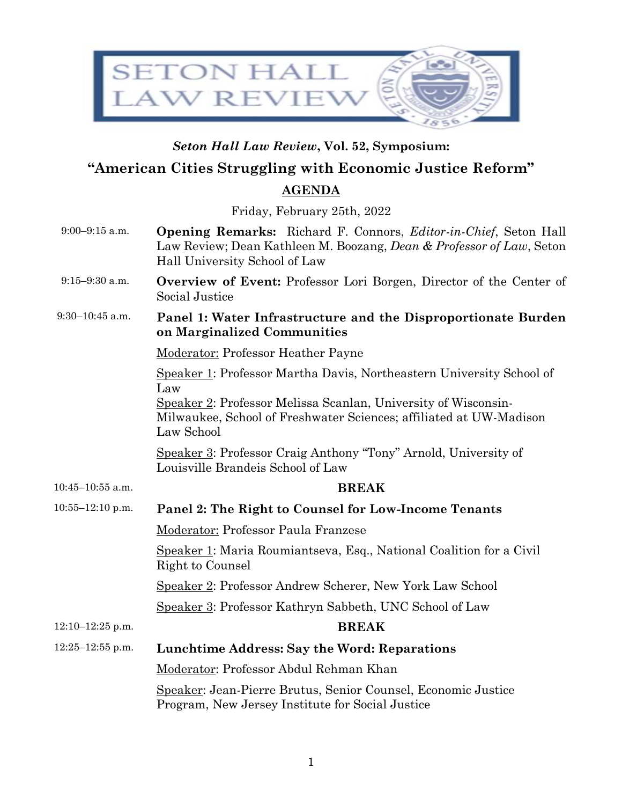

## *Seton Hall Law Review***, Vol. 52, Symposium:**

## **"American Cities Struggling with Economic Justice Reform"**

## **AGENDA**

Friday, February 25th, 2022

- 9:00–9:15 a.m. **Opening Remarks:** Richard F. Connors, *Editor-in-Chief*, Seton Hall Law Review; Dean Kathleen M. Boozang, *Dean & Professor of Law*, Seton Hall University School of Law
- 9:15–9:30 a.m. **Overview of Event:** Professor Lori Borgen, Director of the Center of Social Justice
- 9:30–10:45 a.m. **Panel 1: Water Infrastructure and the Disproportionate Burden on Marginalized Communities**

Moderator: Professor Heather Payne

Speaker 1: Professor Martha Davis, Northeastern University School of Law Speaker 2: Professor Melissa Scanlan, University of Wisconsin-

Milwaukee, School of Freshwater Sciences; affiliated at UW-Madison Law School

Speaker 3: Professor Craig Anthony "Tony" Arnold, University of Louisville Brandeis School of Law

- 10:45–10:55 a.m. **BREAK**
- 10:55–12:10 p.m. **Panel 2: The Right to Counsel for Low-Income Tenants** Moderator: Professor Paula Franzese Speaker 1: Maria Roumiantseva, Esq., National Coalition for a Civil Right to Counsel Speaker 2: Professor Andrew Scherer, New York Law School Speaker 3: Professor Kathryn Sabbeth, UNC School of Law 12:10–12:25 p.m. **BREAK** 12:25–12:55 p.m. **Lunchtime Address: Say the Word: Reparations** Moderator: Professor Abdul Rehman Khan Speaker: Jean-Pierre Brutus, Senior Counsel, Economic Justice Program, New Jersey Institute for Social Justice